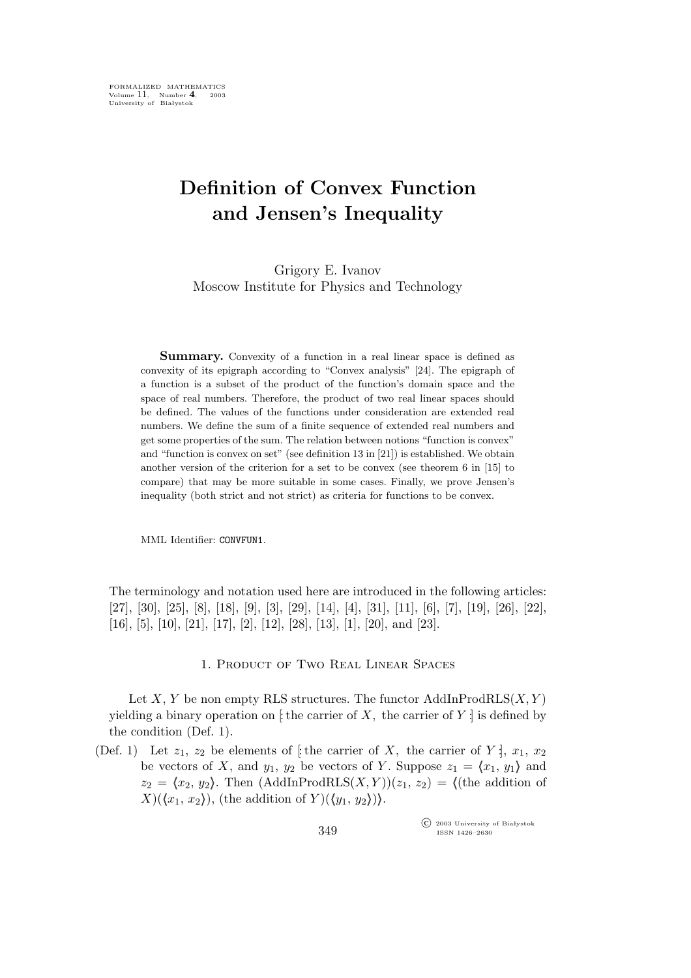# **Definition of Convex Function and Jensen's Inequality**

Grigory E. Ivanov Moscow Institute for Physics and Technology

**Summary.** Convexity of a function in a real linear space is defined as convexity of its epigraph according to "Convex analysis" [24]. The epigraph of a function is a subset of the product of the function's domain space and the space of real numbers. Therefore, the product of two real linear spaces should be defined. The values of the functions under consideration are extended real numbers. We define the sum of a finite sequence of extended real numbers and get some properties of the sum. The relation between notions "function is convex" and "function is convex on set" (see definition 13 in [21]) is established. We obtain another version of the criterion for a set to be convex (see theorem 6 in [15] to compare) that may be more suitable in some cases. Finally, we prove Jensen's inequality (both strict and not strict) as criteria for functions to be convex.

MML Identifier: CONVFUN1.

The terminology and notation used here are introduced in the following articles: [27], [30], [25], [8], [18], [9], [3], [29], [14], [4], [31], [11], [6], [7], [19], [26], [22], [16], [5], [10], [21], [17], [2], [12], [28], [13], [1], [20], and [23].

## 1. Product of Two Real Linear Spaces

Let X, Y be non empty RLS structures. The functor  $\text{AddInProdRLS}(X, Y)$ yielding a binary operation on  $\sharp$  the carrier of X, the carrier of Y  $\sharp$  is defined by the condition (Def. 1).

(Def. 1) Let  $z_1, z_2$  be elements of [the carrier of X, the carrier of Y :],  $x_1, x_2$ be vectors of X, and  $y_1$ ,  $y_2$  be vectors of Y. Suppose  $z_1 = \langle x_1, y_1 \rangle$  and  $z_2 = \langle x_2, y_2 \rangle$ . Then  $(AddInProdRLS(X, Y))(z_1, z_2) = \langle$ (the addition of  $X$ )( $\langle x_1, x_2 \rangle$ ), (the addition of  $Y$ )( $\langle y_1, y_2 \rangle$ )).

> °c 2003 University of Białystok ISSN 1426–2630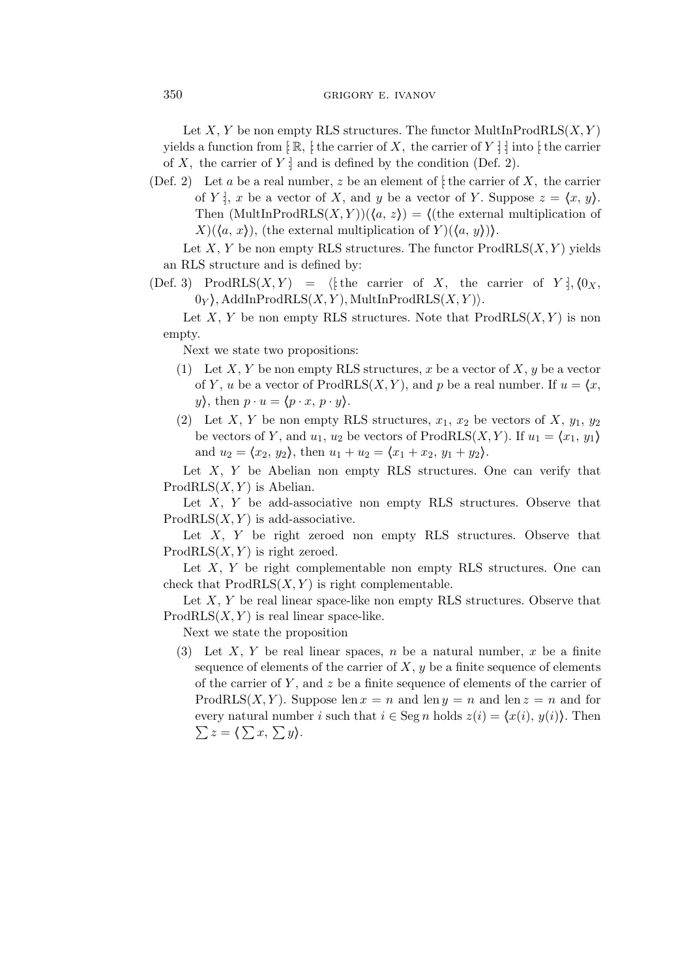## 350 GRIGORY E. IVANOV

Let X, Y be non empty RLS structures. The functor MultInProdRLS $(X, Y)$ yields a function from  $\lceil \mathbb{R}, \rceil$ : the carrier of X, the carrier of Y : : into  $\lceil \cdot \rceil$ : of X, the carrier of  $Y \cdot$  and is defined by the condition (Def. 2).

(Def. 2) Let a be a real number, z be an element of  $\mathfrak{f}$  the carrier of X, the carrier of Y :, x be a vector of X, and y be a vector of Y. Suppose  $z = \langle x, y \rangle$ . Then  $(\text{MultInProdRLS}(X, Y))(\langle a, z \rangle) = \langle \text{(the external multiplication of the image)} \rangle$  $X(\langle a, x \rangle)$ , (the external multiplication of  $Y(\langle a, y \rangle)$ ).

Let X, Y be non empty RLS structures. The functor  $\text{ProdRLS}(X, Y)$  yields an RLS structure and is defined by:

(Def. 3) ProdRLS $(X, Y) = \langle$  the carrier of X, the carrier of Y :,  $\langle 0_X, \rangle$  $0_Y$ , AddInProdRLS $(X, Y)$ , MultInProdRLS $(X, Y)$ .

Let X, Y be non empty RLS structures. Note that  $\text{ProdRLS}(X, Y)$  is non empty.

Next we state two propositions:

- (1) Let X, Y be non empty RLS structures, x be a vector of X, y be a vector of Y, u be a vector of ProdRLS $(X, Y)$ , and p be a real number. If  $u = \langle x, \rangle$  $y$ , then  $p \cdot u = \langle p \cdot x, p \cdot y \rangle$ .
- (2) Let X, Y be non empty RLS structures,  $x_1, x_2$  be vectors of X,  $y_1, y_2$ be vectors of Y, and  $u_1, u_2$  be vectors of ProdRLS(X, Y). If  $u_1 = \langle x_1, y_1 \rangle$ and  $u_2 = \langle x_2, y_2 \rangle$ , then  $u_1 + u_2 = \langle x_1 + x_2, y_1 + y_2 \rangle$ .

Let  $X$ ,  $Y$  be Abelian non empty RLS structures. One can verify that  $ProdRLS(X, Y)$  is Abelian.

Let  $X$ ,  $Y$  be add-associative non empty RLS structures. Observe that  $ProdRLS(X, Y)$  is add-associative.

Let  $X$ ,  $Y$  be right zeroed non empty RLS structures. Observe that  $ProdRLS(X, Y)$  is right zeroed.

Let  $X$ ,  $Y$  be right complementable non empty RLS structures. One can check that  $ProdRLS(X, Y)$  is right complementable.

Let  $X, Y$  be real linear space-like non empty RLS structures. Observe that  $ProdRLS(X, Y)$  is real linear space-like.

Next we state the proposition

(3) Let X, Y be real linear spaces, n be a natural number, x be a finite sequence of elements of the carrier of  $X, y$  be a finite sequence of elements of the carrier of Y, and  $z$  be a finite sequence of elements of the carrier of ProdRLS $(X, Y)$ . Suppose len  $x = n$  and len  $y = n$  and len  $z = n$  and for every natural number *i* such that  $i \in \text{Seg } n$  holds  $z(i) = \langle x(i), y(i) \rangle$ . Then  $\sum z = \langle \sum x, \sum y \rangle.$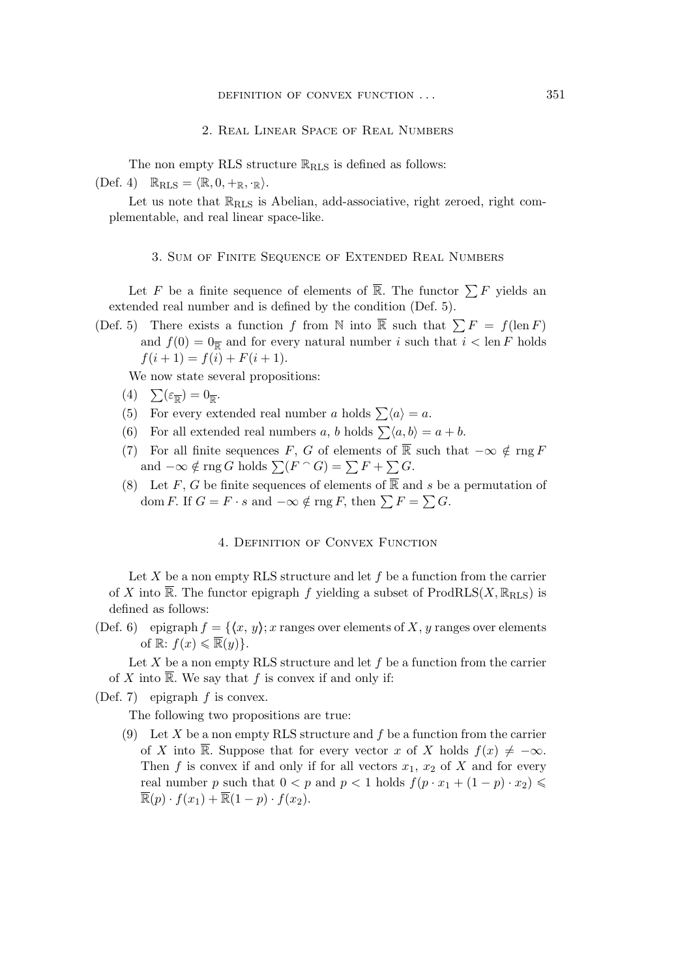#### 2. Real Linear Space of Real Numbers

The non empty RLS structure  $\mathbb{R}_{\text{RLS}}$  is defined as follows:

 $(Def. 4)$   $\mathbb{R}_{\text{RLS}} = \langle \mathbb{R}, 0, +_{\mathbb{R}}, \cdot_{\mathbb{R}} \rangle.$ 

Let us note that  $\mathbb{R}_{\text{RLS}}$  is Abelian, add-associative, right zeroed, right complementable, and real linear space-like.

## 3. Sum of Finite Sequence of Extended Real Numbers

Let F be a finite sequence of elements of  $\overline{\mathbb{R}}$ . The functor  $\sum F$  yields an extended real number and is defined by the condition (Def. 5).

(Def. 5) There exists a function f from N into  $\overline{\mathbb{R}}$  such that  $\sum F = f(\text{len } F)$ and  $f(0) = 0_{\overline{R}}$  and for every natural number i such that  $i < \text{len } F$  holds  $f(i + 1) = f(i) + F(i + 1).$ 

We now state several propositions:

- (4)  $\sum(\varepsilon_{\overline{\mathbb{R}}}) = 0_{\overline{\mathbb{R}}}.$
- (5) For every extended real number a holds  $\sum \langle a \rangle = a$ .
- (6) For all extended real numbers a, b holds  $\sum \langle a, b \rangle = a + b$ .
- (7) For all finite sequences F, G of elements of  $\overline{\mathbb{R}}$  such that  $-\infty \notin \text{rng } F$ and  $-\infty \notin \text{rng } G$  holds  $\sum (F \cap G) = \sum F + \sum G$ .
- (8) Let F, G be finite sequences of elements of  $\overline{\mathbb{R}}$  and s be a permutation of dom F. If  $G = F \cdot s$  and  $-\infty \notin \text{rng } F$ , then  $\sum F = \sum G$ .

# 4. Definition of Convex Function

Let  $X$  be a non empty RLS structure and let  $f$  be a function from the carrier of X into  $\overline{\mathbb{R}}$ . The functor epigraph f yielding a subset of ProdRLS(X,  $\mathbb{R}_{\text{RLS}}$ ) is defined as follows:

(Def. 6) epigraph  $f = \{(x, y) : x \text{ ranges over elements of } X, y \text{ ranges over elements}\}$ of  $\mathbb{R}: f(x) \leqslant \overline{\mathbb{R}}(y)$ .

Let  $X$  be a non empty RLS structure and let  $f$  be a function from the carrier of X into  $\overline{\mathbb{R}}$ . We say that f is convex if and only if:

(Def. 7) epigraph  $f$  is convex.

The following two propositions are true:

(9) Let X be a non empty RLS structure and  $f$  be a function from the carrier of X into  $\overline{\mathbb{R}}$ . Suppose that for every vector x of X holds  $f(x) \neq -\infty$ . Then f is convex if and only if for all vectors  $x_1, x_2$  of X and for every real number p such that  $0 < p$  and  $p < 1$  holds  $f(p \cdot x_1 + (1 - p) \cdot x_2) \leq$  $\overline{\mathbb{R}}(p) \cdot f(x_1) + \overline{\mathbb{R}}(1-p) \cdot f(x_2).$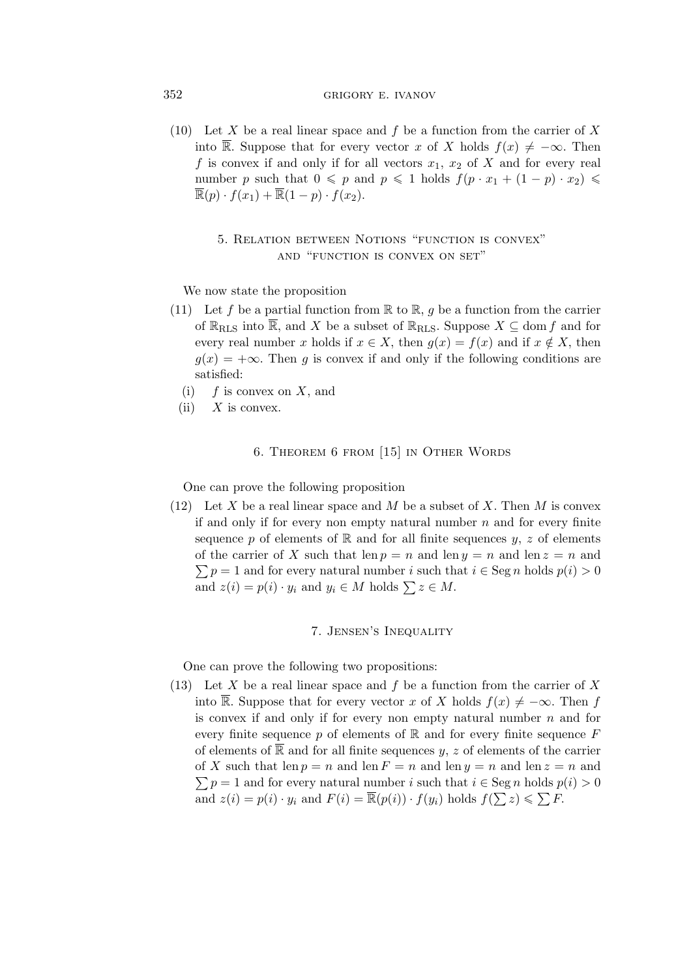## 352 GRIGORY E. IVANOV

(10) Let X be a real linear space and f be a function from the carrier of X into  $\overline{\mathbb{R}}$ . Suppose that for every vector x of X holds  $f(x) \neq -\infty$ . Then f is convex if and only if for all vectors  $x_1, x_2$  of X and for every real number p such that  $0 \leq p$  and  $p \leq 1$  holds  $f(p \cdot x_1 + (1 - p) \cdot x_2) \leq$  $\overline{\mathbb{R}}(p) \cdot f(x_1) + \overline{\mathbb{R}}(1-p) \cdot f(x_2).$ 

# 5. Relation between Notions "function is convex" and "function is convex on set"

We now state the proposition

- (11) Let f be a partial function from  $\mathbb R$  to  $\mathbb R$ , g be a function from the carrier of  $\mathbb{R}_{\text{RLS}}$  into  $\overline{\mathbb{R}}$ , and X be a subset of  $\mathbb{R}_{\text{RLS}}$ . Suppose  $X \subseteq \text{dom } f$  and for every real number x holds if  $x \in X$ , then  $g(x) = f(x)$  and if  $x \notin X$ , then  $q(x) = +\infty$ . Then q is convex if and only if the following conditions are satisfied:
	- (i)  $f$  is convex on X, and
	- $(ii)$  X is convex.

# 6. Theorem 6 from [15] in Other Words

One can prove the following proposition

(12) Let X be a real linear space and M be a subset of X. Then M is convex if and only if for every non empty natural number  $n$  and for every finite sequence p of elements of  $\mathbb R$  and for all finite sequences y, z of elements of the carrier of X such that  $\text{len } p = n$  and  $\text{len } y = n$  and  $\text{len } z = n$  and  $\sum p = 1$  and for every natural number i such that  $i \in \text{Seg } n$  holds  $p(i) > 0$ and  $z(i) = p(i) \cdot y_i$  and  $y_i \in M$  holds  $\sum z \in M$ .

# 7. Jensen's Inequality

One can prove the following two propositions:

(13) Let X be a real linear space and f be a function from the carrier of X into  $\overline{\mathbb{R}}$ . Suppose that for every vector x of X holds  $f(x) \neq -\infty$ . Then f is convex if and only if for every non empty natural number  $n$  and for every finite sequence  $p$  of elements of  $\mathbb R$  and for every finite sequence  $F$ of elements of  $\overline{\mathbb{R}}$  and for all finite sequences y, z of elements of the carrier of X such that len  $p = n$  and len  $F = n$  and len  $y = n$  and len  $z = n$  and  $\sum p = 1$  and for every natural number *i* such that  $i \in \text{Seg } n$  holds  $p(i) > 0$ and  $z(i) = p(i) \cdot y_i$  and  $F(i) = \overline{\mathbb{R}}(p(i)) \cdot f(y_i)$  holds  $f(\sum z) \leq \sum F$ .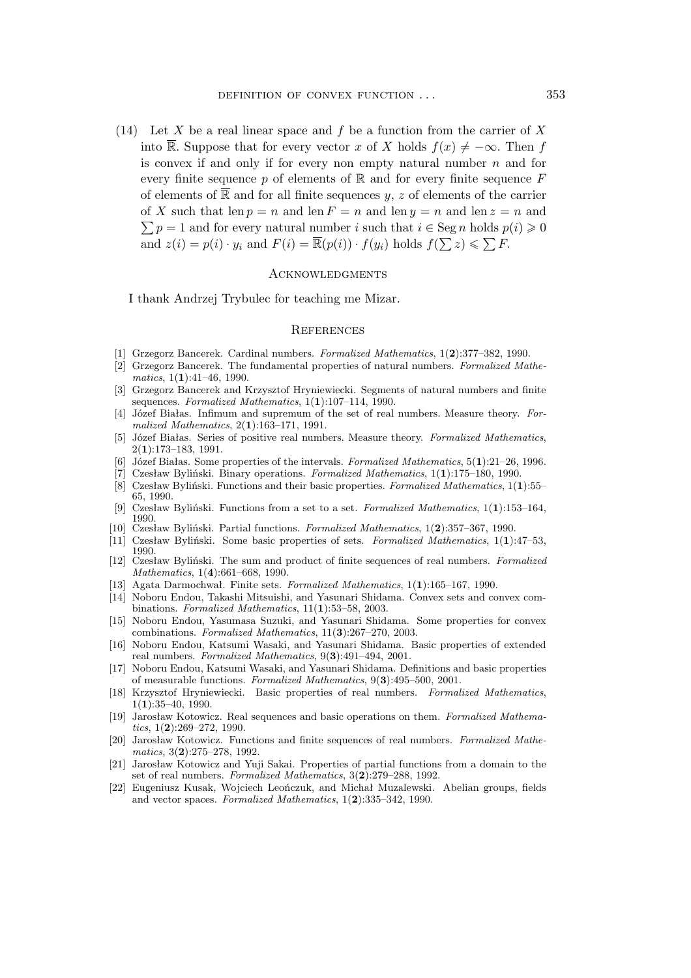(14) Let X be a real linear space and f be a function from the carrier of X into  $\overline{\mathbb{R}}$ . Suppose that for every vector x of X holds  $f(x) \neq -\infty$ . Then f is convex if and only if for every non empty natural number  $n$  and for every finite sequence p of elements of  $\mathbb R$  and for every finite sequence  $F$ of elements of  $\overline{\mathbb{R}}$  and for all finite sequences y, z of elements of the carrier  $\sum p = 1$  and for every natural number i such that  $i \in \text{Seg } n$  holds  $p(i) \geqslant 0$ of X such that len  $p = n$  and len  $F = n$  and len  $y = n$  and len  $z = n$  and and  $z(i) = p(i) \cdot y_i$  and  $F(i) = \overline{\mathbb{R}}(p(i)) \cdot f(y_i)$  holds  $f(\sum z) \leqslant \sum F$ .

## **ACKNOWLEDGMENTS**

I thank Andrzej Trybulec for teaching me Mizar.

### **REFERENCES**

- [1] Grzegorz Bancerek. Cardinal numbers. *Formalized Mathematics*, 1(**2**):377–382, 1990.
- [2] Grzegorz Bancerek. The fundamental properties of natural numbers. *Formalized Mathematics*, 1(**1**):41–46, 1990.
- [3] Grzegorz Bancerek and Krzysztof Hryniewiecki. Segments of natural numbers and finite sequences. *Formalized Mathematics*, 1(**1**):107–114, 1990.
- [4] Józef Białas. Infimum and supremum of the set of real numbers. Measure theory. *Formalized Mathematics*, 2(**1**):163–171, 1991.
- [5] Józef Białas. Series of positive real numbers. Measure theory. *Formalized Mathematics*, 2(**1**):173–183, 1991.
- [6] Józef Białas. Some properties of the intervals. *Formalized Mathematics*, 5(**1**):21–26, 1996.
- [7] Czesław Byliński. Binary operations. *Formalized Mathematics*, 1(**1**):175–180, 1990.
- [8] Czesław Byliński. Functions and their basic properties. *Formalized Mathematics*, 1(**1**):55– 65, 1990.
- [9] Czesław Byliński. Functions from a set to a set. *Formalized Mathematics*, 1(**1**):153–164, 1990.
- [10] Czesław Byliński. Partial functions. *Formalized Mathematics*, 1(**2**):357–367, 1990.
- [11] Czesław Byliński. Some basic properties of sets. *Formalized Mathematics*, 1(**1**):47–53, 1990.
- [12] Czesław Byliński. The sum and product of finite sequences of real numbers. *Formalized Mathematics*, 1(**4**):661–668, 1990.
- [13] Agata Darmochwał. Finite sets. *Formalized Mathematics*, 1(**1**):165–167, 1990.
- [14] Noboru Endou, Takashi Mitsuishi, and Yasunari Shidama. Convex sets and convex combinations. *Formalized Mathematics*, 11(**1**):53–58, 2003.
- [15] Noboru Endou, Yasumasa Suzuki, and Yasunari Shidama. Some properties for convex combinations. *Formalized Mathematics*, 11(**3**):267–270, 2003.
- [16] Noboru Endou, Katsumi Wasaki, and Yasunari Shidama. Basic properties of extended real numbers. *Formalized Mathematics*, 9(**3**):491–494, 2001.
- [17] Noboru Endou, Katsumi Wasaki, and Yasunari Shidama. Definitions and basic properties of measurable functions. *Formalized Mathematics*, 9(**3**):495–500, 2001.
- [18] Krzysztof Hryniewiecki. Basic properties of real numbers. *Formalized Mathematics*, 1(**1**):35–40, 1990.
- [19] Jarosław Kotowicz. Real sequences and basic operations on them. *Formalized Mathematics*, 1(**2**):269–272, 1990.
- [20] Jarosław Kotowicz. Functions and finite sequences of real numbers. *Formalized Mathematics*, 3(**2**):275–278, 1992.
- [21] Jarosław Kotowicz and Yuji Sakai. Properties of partial functions from a domain to the set of real numbers. *Formalized Mathematics*, 3(**2**):279–288, 1992.
- [22] Eugeniusz Kusak, Wojciech Leończuk, and Michał Muzalewski. Abelian groups, fields and vector spaces. *Formalized Mathematics*, 1(**2**):335–342, 1990.